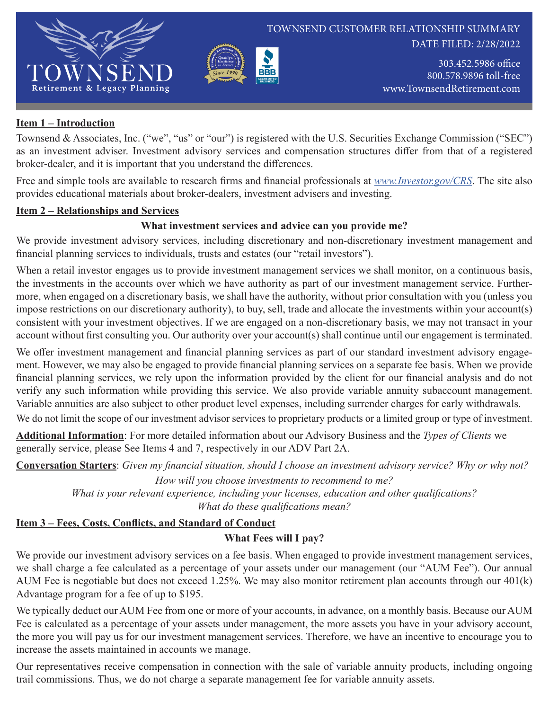

DATE FILED: 2/28/2022

303.452.5986 office 800.578.9896 toll-free www.TownsendRetirement.com

#### **Item 1 – Introduction**

Townsend & Associates, Inc. ("we", "us" or "our") is registered with the U.S. Securities Exchange Commission ("SEC") as an investment adviser. Investment advisory services and compensation structures differ from that of a registered broker-dealer, and it is important that you understand the differences.

Provincinent Section of the Contract of the Contract of the Contract of the Contract of the Contract of the Contract of the Contract of the Contract of the Contract of the Contract of the Contract of the Contract of the Co *Sinc<sup>e</sup> 1990 Quality & Excellence in Service*

Free and simple tools are available to research firms and financial professionals at *www.Investor.gov/CRS*. The site also provides educational materials about broker-dealers, investment advisers and investing.

#### **Item 2 – Relationships and Services**

## **What investment services and advice can you provide me?**

We provide investment advisory services, including discretionary and non-discretionary investment management and financial planning services to individuals, trusts and estates (our "retail investors").

When a retail investor engages us to provide investment management services we shall monitor, on a continuous basis, the investments in the accounts over which we have authority as part of our investment management service. Furthermore, when engaged on a discretionary basis, we shall have the authority, without prior consultation with you (unless you impose restrictions on our discretionary authority), to buy, sell, trade and allocate the investments within your account(s) consistent with your investment objectives. If we are engaged on a non-discretionary basis, we may not transact in your account without first consulting you. Our authority over your account(s) shall continue until our engagement is terminated.

We offer investment management and financial planning services as part of our standard investment advisory engagement. However, we may also be engaged to provide financial planning services on a separate fee basis. When we provide financial planning services, we rely upon the information provided by the client for our financial analysis and do not verify any such information while providing this service. We also provide variable annuity subaccount management. Variable annuities are also subject to other product level expenses, including surrender charges for early withdrawals.

We do not limit the scope of our investment advisor services to proprietary products or a limited group or type of investment.

**Additional Information**: For more detailed information about our Advisory Business and the *Types of Clients* we generally service, please See Items 4 and 7, respectively in our ADV Part 2A.

**Conversation Starters**: *Given my financial situation, should I choose an investment advisory service? Why or why not?*

*How will you choose investments to recommend to me?*

*What is your relevant experience, including your licenses, education and other qualifications? What do these qualifications mean?*

#### **Item 3 – Fees, Costs, Conflicts, and Standard of Conduct**

#### **What Fees will I pay?**

We provide our investment advisory services on a fee basis. When engaged to provide investment management services, we shall charge a fee calculated as a percentage of your assets under our management (our "AUM Fee"). Our annual AUM Fee is negotiable but does not exceed 1.25%. We may also monitor retirement plan accounts through our 401(k) Advantage program for a fee of up to \$195.

We typically deduct our AUM Fee from one or more of your accounts, in advance, on a monthly basis. Because our AUM Fee is calculated as a percentage of your assets under management, the more assets you have in your advisory account, the more you will pay us for our investment management services. Therefore, we have an incentive to encourage you to increase the assets maintained in accounts we manage.

Our representatives receive compensation in connection with the sale of variable annuity products, including ongoing trail commissions. Thus, we do not charge a separate management fee for variable annuity assets.